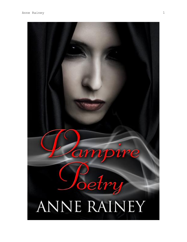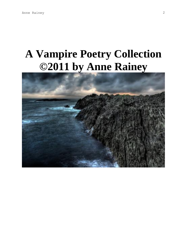# **A Vampire Poetry Collection ©2011 by Anne Rainey**

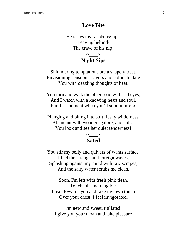#### **Love Bite**

He tastes my raspberry lips, Leaving behind-The crave of his nip!

## **~\_\_\_\_~ Night Sips**

Shimmering temptations are a shapely treat, Envisioning sensuous flavors and colors to dare You with dazzling thoughts of heat.

You turn and walk the other road with sad eyes, And I watch with a knowing heart and soul, For that moment when you'll submit or die.

Plunging and biting into soft fleshy wilderness, Abundant with wonders galore; and still... You look and see her quiet tenderness!

#### **~\_\_\_~ Sated**

You stir my belly and quivers of wants surface. I feel the strange and foreign waves, Splashing against my mind with raw scrapes, And the salty water scrubs me clean.

Soon, I'm left with fresh pink flesh, Touchable and tangible. I lean towards you and rake my own touch Over your chest; I feel invigorated.

I'm new and sweet, titillated. I give you your moan and take pleasure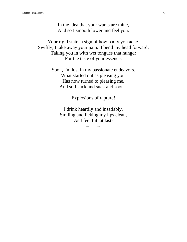In the idea that your wants are mine, And so I smooth lower and feel you.

Your rigid state, a sign of how badly you ache. Swiftly, I take away your pain. I bend my head forward, Taking you in with wet tongues that hunger For the taste of your essence.

> Soon, I'm lost in my passionate endeavors. What started out as pleasing you, Has now turned to pleasing me, And so I suck and suck and soon...

> > Explosions of rapture!

I drink heartily and insatiably. Smiling and licking my lips clean, As I feel full at last-

**~\_\_\_\_~**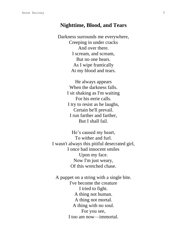#### **Nighttime, Blood, and Tears**

Darkness surrounds me everywhere, Creeping in under cracks And over there. I scream, and scream, But no one hears. As I wipe frantically At my blood and tears.

> He always appears When the darkness falls. I sit shaking as I'm waiting For his eerie calls. I try to resist as he laughs, Certain he'll prevail. I run farther and farther, But I shall fail.

He's caused my heart, To wither and furl. I wasn't always this pitiful desecrated girl, I once had innocent smiles Upon my face. Now I'm just weary, Of this wretched chase.

A puppet on a string with a single bite. I've become the creature I tried to fight. A thing not human. A thing not mortal. A thing with no soul. For you see, I too am now—immortal.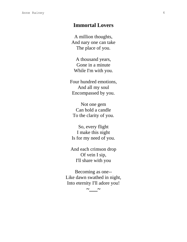### **Immortal Lovers**

A million thoughts, And nary one can take The place of you.

A thousand years, Gone in a minute While I'm with you.

Four hundred emotions, And all my soul Encompassed by you.

Not one gem Can hold a candle To the clarity of you.

So, every flight I make this night Is for my need of you.

And each crimson drop Of vein I sip, I'll share with you

Becoming as one-- Like dawn swathed in night, Into eternity I'll adore you!

**~\_\_\_~**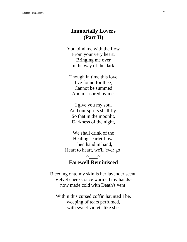## **Immortally Lovers (Part II)**

You bind me with the flow From your very heart, Bringing me over In the way of the dark.

Though in time this love I've found for thee, Cannot be summed And measured by me.

I give you my soul And our spirits shall fly. So that in the moonlit, Darkness of the night,

We shall drink of the Healing scarlet flow. Then hand in hand, Heart to heart, we'll 'ever go!

# **Farewell Reminisced**

**~\_\_\_\_~** 

Bleeding onto my skin is her lavender scent. Velvet cheeks once warmed my handsnow made cold with Death's vent.

Within this cursed coffin haunted I be, weeping of tears perfumed, with sweet violets like she.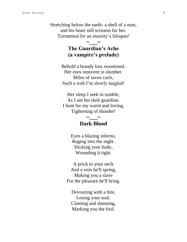Stretching below the earth- a shell of a man, and his heart still screams for her. Tormented for an eternity's lifespan!

# **The Guardian's Ache (a vampire's prelude)**

**~\_\_\_\_~** 

Behold a brandy kiss sweetened. Her eyes innocent in slumber. Miles of raven curls, Such a web I'm slowly tangled!

Her sleep I seek to tumble, As I am her dark guardian. I hunt for my warm and loving, Tightening of thunder!

## **~\_\_\_\_~ Dark Blood**

Eyes a blazing inferno, Raging into the night. Slicking your body, Wounding it tight.

A prick to your neck And a vein he'll spring, Making you a slave For the pleasure he'll bring.

Devouring with a bite, Losing your soul. Claming and damning, Marking you the fool.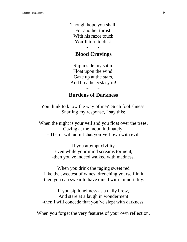Though hope you shall, For another thrust. With his razor touch You'll turn to dust.

#### $\sim$   $\sim$ **Blood Cravings**

Slip inside my satin. Float upon the wind. Gaze up at the stars, And breathe ecstasy in!

## **Burdens of Darkness**

**~\_\_\_\_~** 

You think to know the way of me? Such foolishness! Snarling my response, I say this:

When the night is your veil and you float over the trees, Gazing at the moon intimately, - Then I will admit that you've flown with evil.

> If you attempt civility Even while your mind screams torment, -then you've indeed walked with madness.

When you drink the raging sweet red Like the sweetest of wines; drenching yourself in it -then you can swear to have dined with immortality.

If you sip loneliness as a daily brew, And stare at a laugh in wonderment -then I will concede that you've slept with darkness.

When you forget the very features of your own reflection,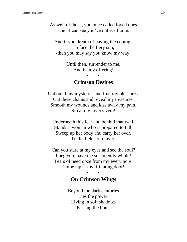As well of those, you once called loved ones -then I can see you've outlived time.

And if you dream of having the courage To face the fiery sun, -then you may say you know my way!

> Until then, surrender to me, And be my offering!

## **~\_\_\_\_~ Crimson Desires**

Unbound my mysteries and find my pleasures. Cut these chains and reveal my treasures. Smooth my wounds and kiss away my pain. Sip at my lover's vein!

Underneath this fear and behind that wall, Stands a woman who is prepared to fall. Sweep up her body and carry her over, To the fields of clover!

Can you stare at my eyes and see the soul? I beg you, have me succulently whole! Tears of need ooze from my every pore. Come tap at my titillating door!

## **~\_\_\_\_~ On Crimson Wings**

Beyond the dark centuries Lies the power. Living in soft shadows Passing the hour.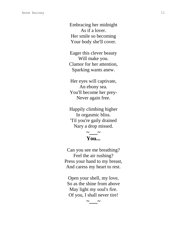Embracing her midnight As if a lover. Her smile so becoming Your body she'll cover.

Eager this clever beauty Will make you. Clamor for her attention, Sparking wants anew.

Her eyes will captivate, An ebony sea. You'll become her prey - Never again free.

Happily climbing higher In orgasmic bliss. 'Til you're gaily drained Nary a drop missed.

#### $\sim$   $\sim$ **You...**

Can you see me breathing? Feel the air rushing? Press your hand to my breast, And caress my heart to rest.

Open your shell, my love, So as the shine from above May light my soul's fire. Of you, I shall never tire!

**~\_\_\_\_~**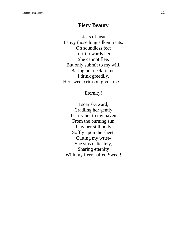#### **Fiery Beauty**

Licks of heat, I envy those long silken treats . On soundless feet I drift towards her . She cannot flee. But only submit to my will, Baring her neck to me, I drink greedily, Her sweet crimson given me…

#### Eternity!

I soar skyward, Cradling her gently I carry her to my haven From the burning sun. I lay her still body Softly upon the sheet. Cutting my wrist - She sips delicately, Sharing eternity With my fiery haired Sweet!